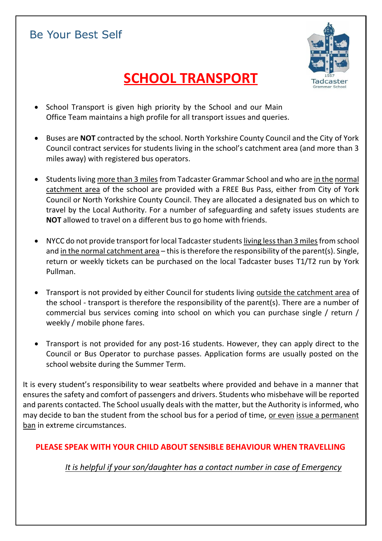## **Be Your Best Self**



# **SCHOOL TRANSPORT**

- School Transport is given high priority by the School and our Main Office Team maintains a high profile for all transport issues and queries.
- Buses are **NOT** contracted by the school. North Yorkshire County Council and the City of York Council contract services for students living in the school's catchment area (and more than 3 miles away) with registered bus operators.
- Students living more than 3 miles from Tadcaster Grammar School and who are in the normal catchment area of the school are provided with a FREE Bus Pass, either from City of York Council or North Yorkshire County Council. They are allocated a designated bus on which to travel by the Local Authority. For a number of safeguarding and safety issues students are **NOT** allowed to travel on a different bus to go home with friends.
- NYCC do not provide transport for local Tadcaster students living less than 3 miles from school and in the normal catchment area – this is therefore the responsibility of the parent(s). Single, return or weekly tickets can be purchased on the local Tadcaster buses T1/T2 run by York Pullman.
- Transport is not provided by either Council for students living outside the catchment area of the school - transport is therefore the responsibility of the parent(s). There are a number of commercial bus services coming into school on which you can purchase single / return / weekly / mobile phone fares.
- Transport is not provided for any post-16 students. However, they can apply direct to the Council or Bus Operator to purchase passes. Application forms are usually posted on the school website during the Summer Term.

It is every student's responsibility to wear seatbelts where provided and behave in a manner that ensures the safety and comfort of passengers and drivers. Students who misbehave will be reported and parents contacted. The School usually deals with the matter, but the Authority is informed, who may decide to ban the student from the school bus for a period of time, or even issue a permanent ban in extreme circumstances.

## **PLEASE SPEAK WITH YOUR CHILD ABOUT SENSIBLE BEHAVIOUR WHEN TRAVELLING**

*It is helpful if your son/daughter has a contact number in case of Emergency*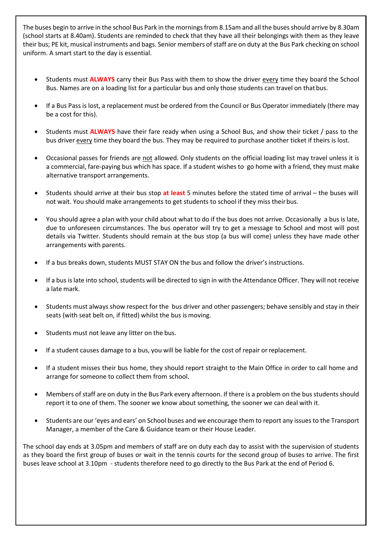The buses begin to arrive in the school Bus Park in the mornings from 8.15am and all the buses should arrive by 8.30am (school starts at 8.40am). Students are reminded to check that they have all their belongings with them as they leave their bus; PE kit, musical instruments and bags. Senior members of staff are on duty at the Bus Park checking on school uniform. A smart start to the day is essential.

- **Students must ALWAYS** carry their Bus Pass with them to show the driver every time they board the School Bus. Names are on a loading list for a particular bus and only those students can travel on thatbus.
- If a Bus Pass is lost, a replacement must be ordered from the Council or Bus Operator immediately (there may be a cost for this).
- Students must **ALWAYS** have their fare ready when using a School Bus, and show their ticket / pass to the bus driver every time they board the bus. They may be required to purchase another ticket if theirs is lost.
- Occasional passes for friends are not allowed. Only students on the official loading list may travel unless it is a commercial, fare-paying bus which has space. If a student wishes to go home with a friend, they must make alternative transport arrangements.
- Students should arrive at their bus stop **at least** 5 minutes before the stated time of arrival the buses will not wait. You should make arrangements to get students to school if they miss theirbus.
- You should agree a plan with your child about what to do if the bus does not arrive. Occasionally a bus is late, due to unforeseen circumstances. The bus operator will try to get a message to School and most will post details via Twitter. Students should remain at the bus stop (a bus will come) unless they have made other arrangements with parents.
- If a bus breaks down, students MUST STAY ON the bus and follow the driver's instructions.
- If a bus is late into school, students will be directed to sign in with the Attendance Officer. They will not receive a late mark.
- Students must always show respect for the bus driver and other passengers; behave sensibly and stay in their seats (with seat belt on, if fitted) whilst the bus is moving.
- Students must not leave any litter on the bus.
- If a student causes damage to a bus, you will be liable for the cost of repair orreplacement.
- If a student misses their bus home, they should report straight to the Main Office in order to call home and arrange for someone to collect them from school.
- Members of staff are on duty in the Bus Park every afternoon. If there is a problem on the bus students should report it to one of them. The sooner we know about something, the sooner we can deal with it.
- Students are our 'eyes and ears' on School buses and we encourage them to report any issues to the Transport Manager, a member of the Care & Guidance team or their House Leader.

The school day ends at 3.05pm and members of staff are on duty each day to assist with the supervision of students as they board the first group of buses or wait in the tennis courts for the second group of buses to arrive. The first buses leave school at 3.10pm - students therefore need to go directly to the Bus Park at the end of Period 6.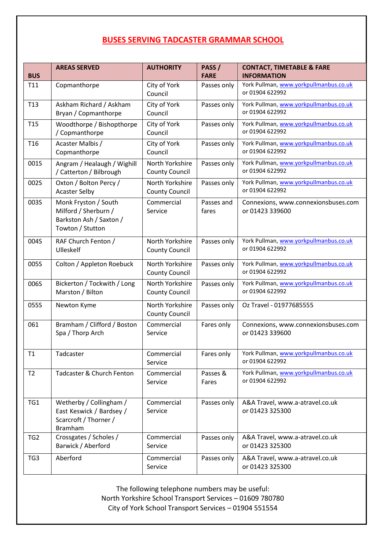## **BUSES SERVING TADCASTER GRAMMAR SCHOOL**

| <b>BUS</b>      | <b>AREAS SERVED</b>                                                                            | <b>AUTHORITY</b>                         | PASS/<br><b>FARE</b> | <b>CONTACT, TIMETABLE &amp; FARE</b><br><b>INFORMATION</b> |
|-----------------|------------------------------------------------------------------------------------------------|------------------------------------------|----------------------|------------------------------------------------------------|
| T11             | Copmanthorpe                                                                                   | City of York<br>Council                  | Passes only          | York Pullman, www.yorkpullmanbus.co.uk<br>or 01904 622992  |
| T <sub>13</sub> | Askham Richard / Askham<br>Bryan / Copmanthorpe                                                | City of York<br>Council                  | Passes only          | York Pullman, www.yorkpullmanbus.co.uk<br>or 01904 622992  |
| T <sub>15</sub> | Woodthorpe / Bishopthorpe<br>/ Copmanthorpe                                                    | City of York<br>Council                  | Passes only          | York Pullman, www.yorkpullmanbus.co.uk<br>or 01904 622992  |
| T <sub>16</sub> | Acaster Malbis /<br>Copmanthorpe                                                               | City of York<br>Council                  | Passes only          | York Pullman, www.yorkpullmanbus.co.uk<br>or 01904 622992  |
| 001S            | Angram / Healaugh / Wighill<br>/ Catterton / Bilbrough                                         | North Yorkshire<br><b>County Council</b> | Passes only          | York Pullman, www.yorkpullmanbus.co.uk<br>or 01904 622992  |
| 002S            | Oxton / Bolton Percy /<br><b>Acaster Selby</b>                                                 | North Yorkshire<br><b>County Council</b> | Passes only          | York Pullman, www.yorkpullmanbus.co.uk<br>or 01904 622992  |
| 003S            | Monk Fryston / South<br>Milford / Sherburn /<br>Barkston Ash / Saxton /<br>Towton / Stutton    | Commercial<br>Service                    | Passes and<br>fares  | Connexions, www.connexionsbuses.com<br>or 01423 339600     |
| 004S            | RAF Church Fenton /<br>Ulleskelf                                                               | North Yorkshire<br><b>County Council</b> | Passes only          | York Pullman, www.yorkpullmanbus.co.uk<br>or 01904 622992  |
| 005S            | Colton / Appleton Roebuck                                                                      | North Yorkshire<br><b>County Council</b> | Passes only          | York Pullman, www.yorkpullmanbus.co.uk<br>or 01904 622992  |
| 006S            | Bickerton / Tockwith / Long<br>Marston / Bilton                                                | North Yorkshire<br><b>County Council</b> | Passes only          | York Pullman, www.yorkpullmanbus.co.uk<br>or 01904 622992  |
| 055S            | Newton Kyme                                                                                    | North Yorkshire<br><b>County Council</b> | Passes only          | Oz Travel - 01977685555                                    |
| 061             | Bramham / Clifford / Boston<br>Spa / Thorp Arch                                                | Commercial<br>Service                    | Fares only           | Connexions, www.connexionsbuses.com<br>or 01423 339600     |
| T1              | Tadcaster                                                                                      | Commercial<br>Service                    | Fares only           | York Pullman, www.yorkpullmanbus.co.uk<br>or 01904 622992  |
| T <sub>2</sub>  | Tadcaster & Church Fenton                                                                      | Commercial<br>Service                    | Passes &<br>Fares    | York Pullman, www.yorkpullmanbus.co.uk<br>or 01904 622992  |
| TG1             | Wetherby / Collingham /<br>East Keswick / Bardsey /<br>Scarcroft / Thorner /<br><b>Bramham</b> | Commercial<br>Service                    | Passes only          | A&A Travel, www.a-atravel.co.uk<br>or 01423 325300         |
| TG <sub>2</sub> | Crossgates / Scholes /<br>Barwick / Aberford                                                   | Commercial<br>Service                    | Passes only          | A&A Travel, www.a-atravel.co.uk<br>or 01423 325300         |
| TG3             | Aberford                                                                                       | Commercial<br>Service                    | Passes only          | A&A Travel, www.a-atravel.co.uk<br>or 01423 325300         |

The following telephone numbers may be useful: North Yorkshire School Transport Services – 01609 780780 City of York School Transport Services – 01904 551554